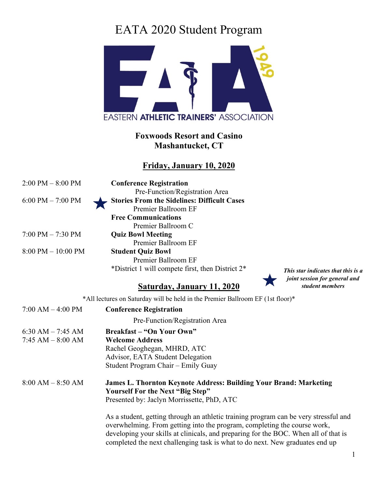

### **Foxwoods Resort and Casino Mashantucket, CT**

### **Friday, January 10, 2020**

| $2:00$ PM $-8:00$ PM   | <b>Conference Registration</b>                     |
|------------------------|----------------------------------------------------|
|                        | Pre-Function/Registration Area                     |
| $6:00$ PM $- 7:00$ PM  | <b>Stories From the Sidelines: Difficult Cases</b> |
|                        | Premier Ballroom EF                                |
|                        | <b>Free Communications</b>                         |
|                        | Premier Ballroom C                                 |
| $7:00$ PM $- 7:30$ PM  | <b>Quiz Bowl Meeting</b>                           |
|                        | Premier Ballroom EF                                |
| $8:00$ PM $- 10:00$ PM | <b>Student Quiz Bowl</b>                           |
|                        | Premier Ballroom EF                                |
|                        | *District 1 will compete first, then District 2*   |

## **Saturday, January 11, 2020**



*This star indicates that this is a joint session for general and student members*

\*All lectures on Saturday will be held in the Premier Ballroom EF (1st floor)\*

| $7:00 AM - 4:00 PM$  | <b>Conference Registration</b>                                                                                                                                                                                                                                                                                                          |
|----------------------|-----------------------------------------------------------------------------------------------------------------------------------------------------------------------------------------------------------------------------------------------------------------------------------------------------------------------------------------|
|                      | Pre-Function/Registration Area                                                                                                                                                                                                                                                                                                          |
| 6:30 AM $-$ 7:45 AM  | <b>Breakfast – "On Your Own"</b>                                                                                                                                                                                                                                                                                                        |
| $7:45$ AM $-8:00$ AM | <b>Welcome Address</b>                                                                                                                                                                                                                                                                                                                  |
|                      | Rachel Geoghegan, MHRD, ATC                                                                                                                                                                                                                                                                                                             |
|                      | Advisor, EATA Student Delegation                                                                                                                                                                                                                                                                                                        |
|                      | Student Program Chair – Emily Guay                                                                                                                                                                                                                                                                                                      |
| $8:00 AM - 8:50 AM$  | <b>James L. Thornton Keynote Address: Building Your Brand: Marketing</b><br><b>Yourself For the Next "Big Step"</b>                                                                                                                                                                                                                     |
|                      | Presented by: Jaclyn Morrissette, PhD, ATC                                                                                                                                                                                                                                                                                              |
|                      | As a student, getting through an athletic training program can be very stressful and<br>overwhelming. From getting into the program, completing the course work,<br>developing your skills at clinicals, and preparing for the BOC. When all of that is<br>completed the next challenging task is what to do next. New graduates end up |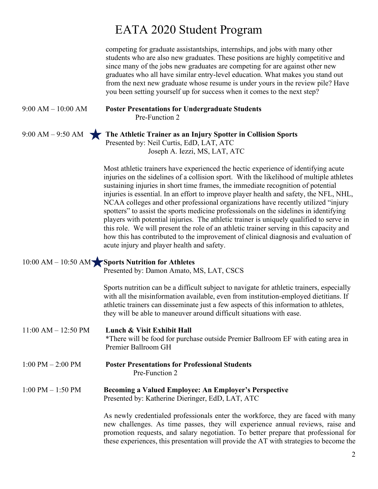competing for graduate assistantships, internships, and jobs with many other students who are also new graduates. These positions are highly competitive and since many of the jobs new graduates are competing for are against other new graduates who all have similar entry-level education. What makes you stand out from the next new graduate whose resume is under yours in the review pile? Have you been setting yourself up for success when it comes to the next step?

#### 9:00 AM – 10:00 AM **Poster Presentations for Undergraduate Students** Pre-Function 2

9:00 AM – 9:50 AM **The Athletic Trainer as an Injury Spotter in Collision Sports** Presented by: Neil Curtis, EdD, LAT, ATC Joseph A. Iezzi, MS, LAT, ATC

> Most athletic trainers have experienced the hectic experience of identifying acute injuries on the sidelines of a collision sport. With the likelihood of multiple athletes sustaining injuries in short time frames, the immediate recognition of potential injuries is essential. In an effort to improve player health and safety, the NFL, NHL, NCAA colleges and other professional organizations have recently utilized "injury spotters" to assist the sports medicine professionals on the sidelines in identifying players with potential injuries. The athletic trainer is uniquely qualified to serve in this role. We will present the role of an athletic trainer serving in this capacity and how this has contributed to the improvement of clinical diagnosis and evaluation of acute injury and player health and safety.

| $10:00$ AM $- 10:50$ AM Sports Nutrition for Athletes |  |  |  |  |
|-------------------------------------------------------|--|--|--|--|
| Presented by: Damon Amato, MS, LAT, CSCS              |  |  |  |  |

Sports nutrition can be a difficult subject to navigate for athletic trainers, especially with all the misinformation available, even from institution-employed dietitians. If athletic trainers can disseminate just a few aspects of this information to athletes, they will be able to maneuver around difficult situations with ease.

11:00 AM – 12:50 PM **Lunch & Visit Exhibit Hall** \*There will be food for purchase outside Premier Ballroom EF with eating area in Premier Ballroom GH

1:00 PM – 2:00 PM **Poster Presentations for Professional Students** Pre-Function 2

#### 1:00 PM – 1:50 PM **Becoming a Valued Employee: An Employer's Perspective** Presented by: Katherine Dieringer, EdD, LAT, ATC

As newly credentialed professionals enter the workforce, they are faced with many new challenges. As time passes, they will experience annual reviews, raise and promotion requests, and salary negotiation. To better prepare that professional for these experiences, this presentation will provide the AT with strategies to become the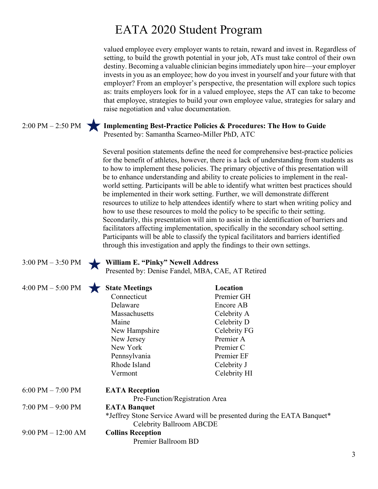valued employee every employer wants to retain, reward and invest in. Regardless of setting, to build the growth potential in your job, ATs must take control of their own destiny. Becoming a valuable clinician begins immediately upon hire—your employer invests in you as an employee; how do you invest in yourself and your future with that employer? From an employer's perspective, the presentation will explore such topics as: traits employers look for in a valued employee, steps the AT can take to become that employee, strategies to build your own employee value, strategies for salary and raise negotiation and value documentation.

2:00 PM – 2:50 PM **Implementing Best-Practice Policies & Procedures: The How to Guide**  Presented by: Samantha Scarneo-Miller PhD, ATC

> Several position statements define the need for comprehensive best-practice policies for the benefit of athletes, however, there is a lack of understanding from students as to how to implement these policies. The primary objective of this presentation will be to enhance understanding and ability to create policies to implement in the realworld setting. Participants will be able to identify what written best practices should be implemented in their work setting. Further, we will demonstrate different resources to utilize to help attendees identify where to start when writing policy and how to use these resources to mold the policy to be specific to their setting. Secondarily, this presentation will aim to assist in the identification of barriers and facilitators affecting implementation, specifically in the secondary school setting. Participants will be able to classify the typical facilitators and barriers identified through this investigation and apply the findings to their own settings.

### 3:00 PM – 3:50 PM **William E. "Pinky" Newell Address**

Presented by: Denise Fandel, MBA, CAE, AT Retired

4:00 PM – 5:00 PM **State Meetings Location**

| $1.000 \pm 1.1$       | *** ***********                                                                                |              |  |  |
|-----------------------|------------------------------------------------------------------------------------------------|--------------|--|--|
|                       | Connecticut                                                                                    | Premier GH   |  |  |
|                       | Delaware                                                                                       | Encore AB    |  |  |
|                       | Massachusetts                                                                                  | Celebrity A  |  |  |
|                       | Maine                                                                                          | Celebrity D  |  |  |
|                       | New Hampshire                                                                                  | Celebrity FG |  |  |
|                       | New Jersey                                                                                     | Premier A    |  |  |
|                       | New York                                                                                       | Premier C    |  |  |
|                       | Pennsylvania                                                                                   | Premier EF   |  |  |
|                       | Rhode Island                                                                                   | Celebrity J  |  |  |
|                       | Vermont                                                                                        | Celebrity HI |  |  |
| $6:00$ PM $- 7:00$ PM | <b>EATA Reception</b>                                                                          |              |  |  |
|                       | Pre-Function/Registration Area                                                                 |              |  |  |
| 7:00 PM - 9:00 PM     |                                                                                                |              |  |  |
|                       | <b>EATA Banquet</b><br>*Jeffrey Stone Service Award will be presented during the EATA Banquet* |              |  |  |
|                       | Celebrity Ballroom ABCDE                                                                       |              |  |  |
| 9:00 PM – 12:00 AM    | <b>Collins Reception</b>                                                                       |              |  |  |
|                       | Premier Ballroom BD                                                                            |              |  |  |
|                       |                                                                                                |              |  |  |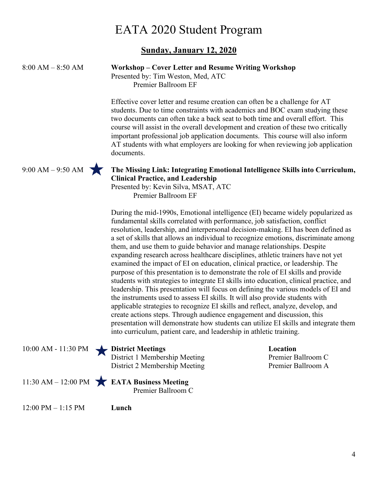#### **Sunday, January 12, 2020**

#### 8:00 AM – 8:50 AM **Workshop – Cover Letter and Resume Writing Workshop** Presented by: Tim Weston, Med, ATC

Premier Ballroom EF

Effective cover letter and resume creation can often be a challenge for AT students. Due to time constraints with academics and BOC exam studying these two documents can often take a back seat to both time and overall effort. This course will assist in the overall development and creation of these two critically important professional job application documents. This course will also inform AT students with what employers are looking for when reviewing job application documents.



#### 9:00 AM – 9:50 AM **The Missing Link: Integrating Emotional Intelligence Skills into Curriculum, Clinical Practice, and Leadership**

Presented by: Kevin Silva, MSAT, ATC Premier Ballroom EF

During the mid-1990s, Emotional intelligence (EI) became widely popularized as fundamental skills correlated with performance, job satisfaction, conflict resolution, leadership, and interpersonal decision-making. EI has been defined as a set of skills that allows an individual to recognize emotions, discriminate among them, and use them to guide behavior and manage relationships. Despite expanding research across healthcare disciplines, athletic trainers have not yet examined the impact of EI on education, clinical practice, or leadership. The purpose of this presentation is to demonstrate the role of EI skills and provide students with strategies to integrate EI skills into education, clinical practice, and leadership. This presentation will focus on defining the various models of EI and the instruments used to assess EI skills. It will also provide students with applicable strategies to recognize EI skills and reflect, analyze, develop, and create actions steps. Through audience engagement and discussion, this presentation will demonstrate how students can utilize EI skills and integrate them into curriculum, patient care, and leadership in athletic training.

|  | 10:00 AM - 11:30 PM District Meetings<br>District 1 Membership Meeting<br>District 2 Membership Meeting | Location<br>Premier E<br>Premier E |
|--|---------------------------------------------------------------------------------------------------------|------------------------------------|
|  | 11:30 AM - 12:00 PM $\overrightarrow{E}$ <b>EATA Business Meeting</b><br>Premier Ballroom C             |                                    |
|  |                                                                                                         |                                    |

12:00 PM – 1:15 PM **Lunch**

**Premier Ballroom C** Premier Ballroom A